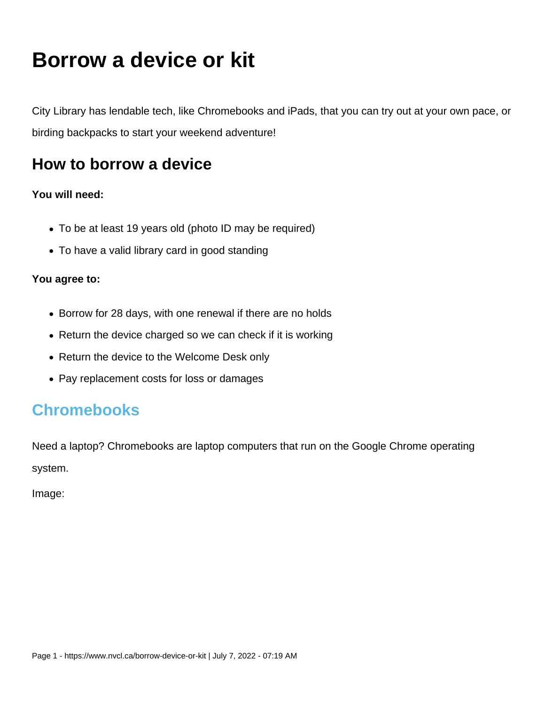# **Borrow a device or kit**

City Library has lendable tech, like Chromebooks and iPads, that you can try out at your own pace, or birding backpacks to start your weekend adventure!

## **How to borrow a device**

#### **You will need:**

- To be at least 19 years old (photo ID may be required)
- To have a valid library card in good standing

#### **You agree to:**

- Borrow for 28 days, with one renewal if there are no holds
- Return the device charged so we can check if it is working
- Return the device to the Welcome Desk only
- Pay replacement costs for loss or damages

### **Chromebooks**

Need a laptop? Chromebooks are laptop computers that run on the Google Chrome operating system.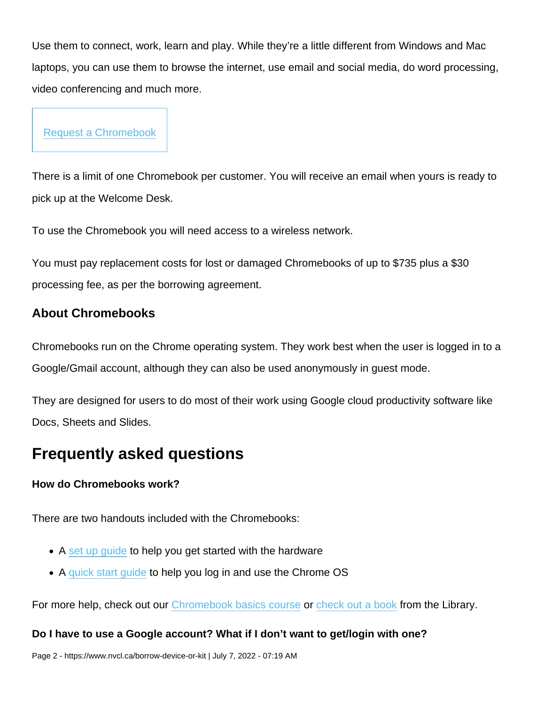Use them to connect, work, learn and play. While they're a little different from Windows and Mac laptops, you can use them to browse the internet, use email and social media, do word processing, video conferencing and much more.

[Request a Chromebook](https://nvc.ent.sirsidynix.net/client/en_US/nvcl/search/detailnonmodal/ent:$002f$002fSD_ILS$002f0$002fSD_ILS:320715/ada?qu=chromebook&d=ent://SD_ILS/0/SD_ILS:320715~ILS~0&h=8)

There is a limit of one Chromebook per customer. You will receive an email when yours is ready to pick up at the Welcome Desk.

To use the Chromebook you will need access to a wireless network.

You must pay replacement costs for lost or damaged Chromebooks of up to \$735 plus a \$30 processing fee, as per the borrowing agreement.

#### About Chromebooks

Chromebooks run on the Chrome operating system. They work best when the user is logged in to a Google/Gmail account, although they can also be used anonymously in guest mode.

They are designed for users to do most of their work using Google cloud productivity software like Docs, Sheets and Slides.

### Frequently asked questions

How do Chromebooks work?

There are two handouts included with the Chromebooks:

- A [set up guide](https://nvcl.ca/sites/default/files/2022-04/Handout Chromebook Setup.pdf) to help you get started with the hardware
- A quick start quide to help you log in and use the Chrome OS

For more help, check out our [Chromebook basics course](https://my.nicheacademy.com/nvcl-courses/course/24761/lesson/92372) or [check out a book](https://nvc.ent.sirsidynix.net/client/en_US/nvcl/search/results?qu=chromebook&te=) from the Library.

Do I have to use a Google account? What if I don't want to get/login with one?

Page 2 - https://www.nvcl.ca/borrow-device-or-kit | July 7, 2022 - 07:19 AM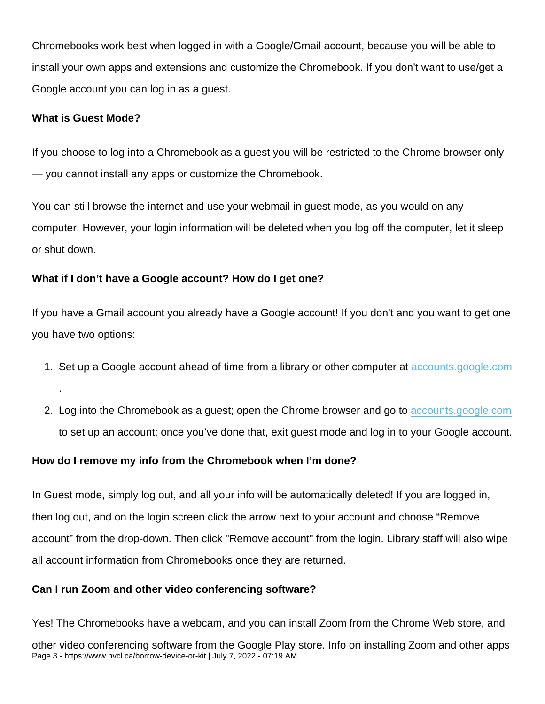Chromebooks work best when logged in with a Google/Gmail account, because you will be able to install your own apps and extensions and customize the Chromebook. If you don't want to use/get a Google account you can log in as a guest.

What is Guest Mode?

.

If you choose to log into a Chromebook as a guest you will be restricted to the Chrome browser only — you cannot install any apps or customize the Chromebook.

You can still browse the internet and use your webmail in guest mode, as you would on any computer. However, your login information will be deleted when you log off the computer, let it sleep or shut down.

What if I don't have a Google account? How do I get one?

If you have a Gmail account you already have a Google account! If you don't and you want to get one you have two options:

- 1. Set up a Google account ahead of time from a library or other computer at [accounts.google.com](https://accounts.google.com)
- 2. Log into the Chromebook as a guest; open the Chrome browser and go to [accounts.google.com](https://accounts.google.com) to set up an account; once you've done that, exit guest mode and log in to your Google account.

How do I remove my info from the Chromebook when I'm done?

In Guest mode, simply log out, and all your info will be automatically deleted! If you are logged in, then log out, and on the login screen click the arrow next to your account and choose "Remove account" from the drop-down. Then click "Remove account" from the login. Library staff will also wipe all account information from Chromebooks once they are returned.

Can I run Zoom and other video conferencing software?

Yes! The Chromebooks have a webcam, and you can install Zoom from the Chrome Web store, and other video conferencing software from the Google Play store. Info on installing Zoom and other apps Page 3 - https://www.nvcl.ca/borrow-device-or-kit | July 7, 2022 - 07:19 AM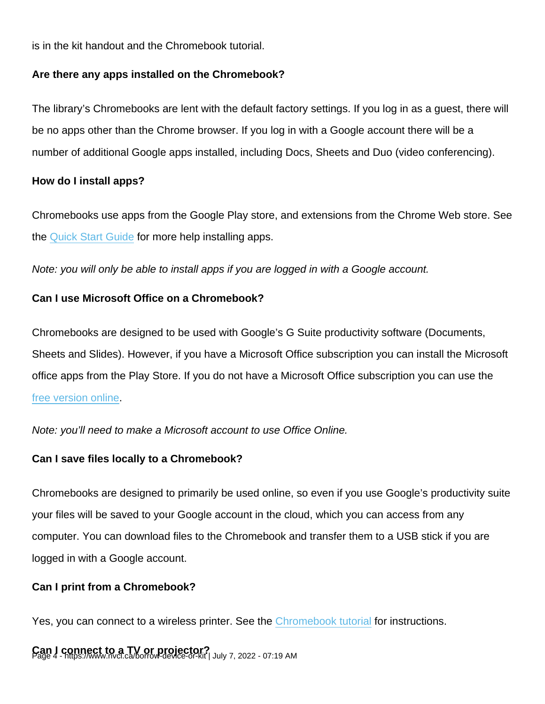is in the kit handout and the Chromebook tutorial.

Are there any apps installed on the Chromebook?

The library's Chromebooks are lent with the default factory settings. If you log in as a guest, there will be no apps other than the Chrome browser. If you log in with a Google account there will be a number of additional Google apps installed, including Docs, Sheets and Duo (video conferencing).

How do I install apps?

Chromebooks use apps from the Google Play store, and extensions from the Chrome Web store. See the [Quick Start Guide](https://nvcl.ca/sites/default/files/2022-04/Handout Chromebook Quick Start Guide.pdf) for more help installing apps.

Note: you will only be able to install apps if you are logged in with a Google account.

Can I use Microsoft Office on a Chromebook?

Chromebooks are designed to be used with Google's G Suite productivity software (Documents, Sheets and Slides). However, if you have a Microsoft Office subscription you can install the Microsoft office apps from the Play Store. If you do not have a Microsoft Office subscription you can use the [free version online](https://www.microsoft.com/en-ca/microsoft-365/free-office-online-for-the-web).

Note: you'll need to make a Microsoft account to use Office Online.

Can I save files locally to a Chromebook?

Chromebooks are designed to primarily be used online, so even if you use Google's productivity suite your files will be saved to your Google account in the cloud, which you can access from any computer. You can download files to the Chromebook and transfer them to a USB stick if you are logged in with a Google account.

Can I print from a Chromebook?

Yes, you can connect to a wireless printer. See the [Chromebook tutorial](https://my.nicheacademy.com/nvcl-courses/course/24761/lesson/92372) for instructions.

Can | connect to a TV or projector?<br>Page 4 - https://www.nvcl.ca/borrow-device-or-kit | July 7, 2022 - 07:19 AM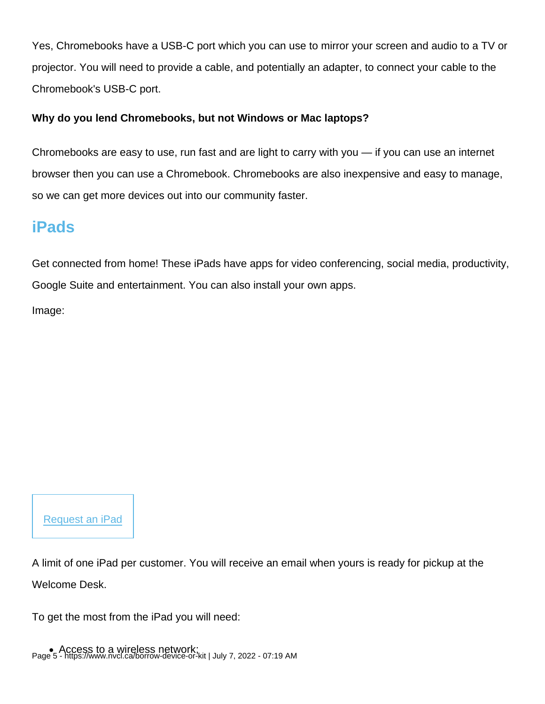Yes, Chromebooks have a USB-C port which you can use to mirror your screen and audio to a TV or projector. You will need to provide a cable, and potentially an adapter, to connect your cable to the Chromebook's USB-C port.

Why do you lend Chromebooks, but not Windows or Mac laptops?

Chromebooks are easy to use, run fast and are light to carry with you — if you can use an internet browser then you can use a Chromebook. Chromebooks are also inexpensive and easy to manage, so we can get more devices out into our community faster.

### iPads

Get connected from home! These iPads have apps for video conferencing, social media, productivity, Google Suite and entertainment. You can also install your own apps.

Image:

[Request an iPad](https://nvc.ent.sirsidynix.net/client/en_US/nvcl/search/detailnonmodal/ent:$002f$002fSD_ILS$002f0$002fSD_ILS:318731/ada?qu=ipad+connect&d=ent://SD_ILS/0/SD_ILS:318731~ILS~0&lm=NVCL)

A limit of one iPad per customer. You will receive an email when yours is ready for pickup at the Welcome Desk.

To get the most from the iPad you will need: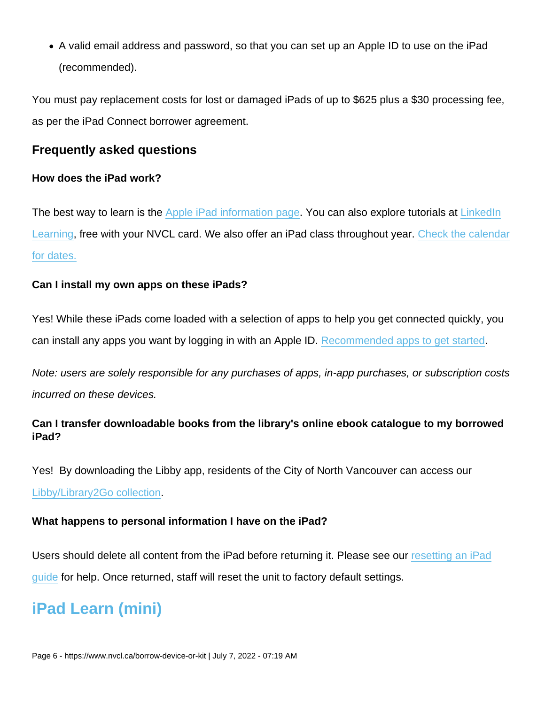A valid email address and password, so that you can set up an Apple ID to use on the iPad (recommended).

You must pay replacement costs for lost or damaged iPads of up to \$625 plus a \$30 processing fee, as per the iPad Connect borrower agreement.

Frequently asked questions

How does the iPad work?

The best way to learn is the [Apple iPad information page.](https://support.apple.com/ipad) You can also explore tutorials at [LinkedIn](https://www.linkedin.com/learning-login/go/northvancitylibrary) [Learning,](https://www.linkedin.com/learning-login/go/northvancitylibrary) free with your NVCL card. We also offer an iPad class throughout year. [Check the calendar](https://www.nvcl.ca/calendar) [for dates.](https://www.nvcl.ca/calendar)

Can I install my own apps on these iPads?

Yes! While these iPads come loaded with a selection of apps to help you get connected quickly, you can install any apps you want by logging in with an Apple ID. [Recommended apps to get started.](https://nvcl.ca/sites/default/files/2022-04/iPad Connect Recommended Apps.pdf)

Note: users are solely responsible for any purchases of apps, in-app purchases, or subscription costs incurred on these devices.

Can I transfer downloadable books from the library's online ebook catalogue to my borrowed iPad?

Yes! By downloading the Libby app, residents of the City of North Vancouver can access our [Libby/Library2Go collection.](https://www.nvcl.cadigital-library#goto37)

What happens to personal information I have on the iPad?

Users should delete all content from the iPad before returning it. Please see our [resetting an iPad](https://nvcl.ca/sites/default/files/2022-04/Resetting an iPad.pdf) [guide](https://nvcl.ca/sites/default/files/2022-04/Resetting an iPad.pdf) for help. Once returned, staff will reset the unit to factory default settings.

### iPad Learn (mini)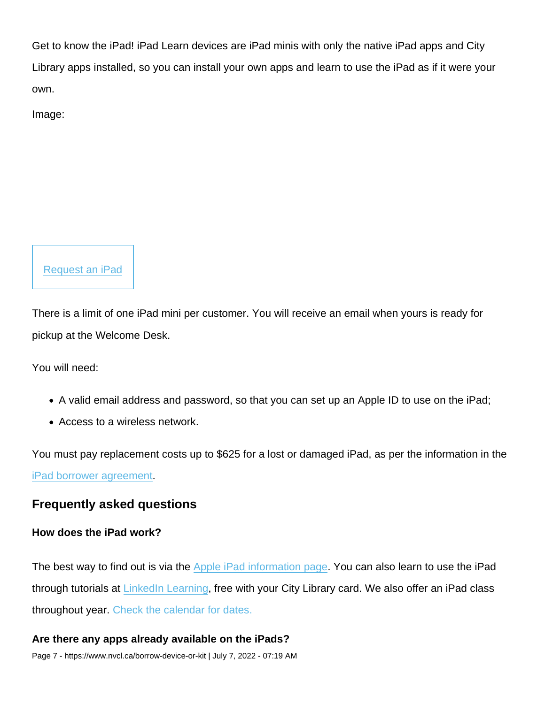Get to know the iPad! iPad Learn devices are iPad minis with only the native iPad apps and City Library apps installed, so you can install your own apps and learn to use the iPad as if it were your own.

Image:



There is a limit of one iPad mini per customer. You will receive an email when yours is ready for pickup at the Welcome Desk.

You will need:

- A valid email address and password, so that you can set up an Apple ID to use on the iPad;
- Access to a wireless network.

You must pay replacement costs up to \$625 for a lost or damaged iPad, as per the information in the [iPad borrower agreement](https://nvcl.weavercoop.online/sites/default/files/2022-04/iPad Borrower Agreement 2021.pdf).

Frequently asked questions

How does the iPad work?

The best way to find out is via the [Apple iPad information page](https://support.apple.com/ipad). You can also learn to use the iPad through tutorials at [LinkedIn Learning](https://www.linkedin.com/learning-login/go/northvancitylibrary), free with your City Library card. We also offer an iPad class throughout year. [Check the calendar for dates.](https://www.nvcl.ca/calendar)

Are there any apps already available on the iPads? Page 7 - https://www.nvcl.ca/borrow-device-or-kit | July 7, 2022 - 07:19 AM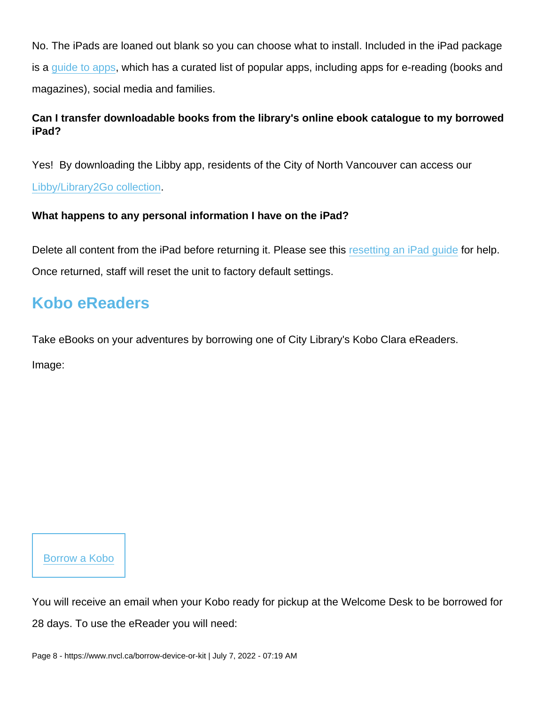No. The iPads are loaned out blank so you can choose what to install. Included in the iPad package is a [guide to apps](https://nvcl.ca/sites/default/files/2022-04/Guide to Apps May 2020.pdf), which has a curated list of popular apps, including apps for e-reading (books and magazines), social media and families.

Can I transfer downloadable books from the library's online ebook catalogue to my borrowed iPad?

Yes! By downloading the Libby app, residents of the City of North Vancouver can access our

[Libby/Library2Go collection.](https://www.nvcl.cadigital-library#goto37)

What happens to any personal information I have on the iPad?

Delete all content from the iPad before returning it. Please see this [resetting an iPad guide](https://nvcl.ca/sites/default/files/2022-04/Resetting an iPad.pdf) for help. Once returned, staff will reset the unit to factory default settings.

# Kobo eReaders

Take eBooks on your adventures by borrowing one of City Library's Kobo Clara eReaders.

Image:

[Borrow a Kobo](https://nvc.ent.sirsidynix.net/client/en_US/nvcl/search/detailnonmodal/ent:$002f$002fSD_ILS$002f0$002fSD_ILS:312377/ada?qu=kobo&d=ent://SD_ILS/0/SD_ILS:312377~ILS~0&lm=NVCL)

You will receive an email when your Kobo ready for pickup at the Welcome Desk to be borrowed for 28 days. To use the eReader you will need: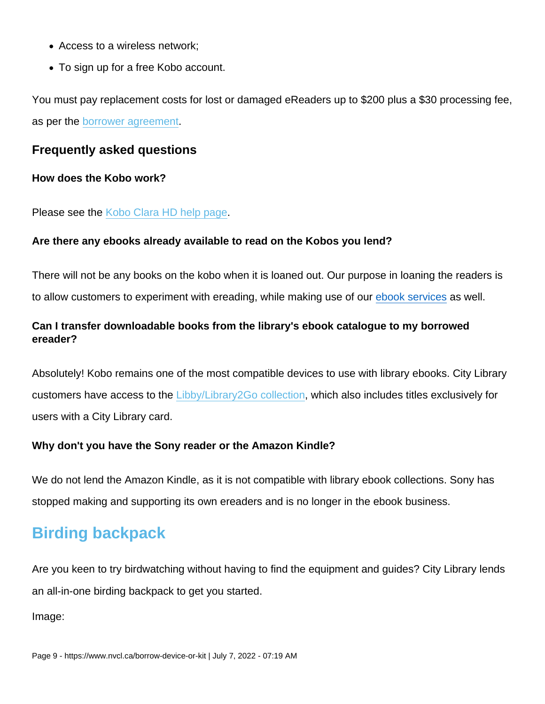- Access to a wireless network;
- To sign up for a free Kobo account.

You must pay replacement costs for lost or damaged eReaders up to \$200 plus a \$30 processing fee, as per the [borrower agreement.](https://nvcl.ca/sites/default/files/2022-04/Kobo Borrower Agreement 2021_1.pdf)

Frequently asked questions

How does the Kobo work?

Please see the [Kobo Clara HD help page](https://help.kobo.com/hc/en-us/articles/360019127253-Kobo-Clara-HD).

Are there any ebooks already available to read on the Kobos you lend?

There will not be any books on the kobo when it is loaned out. Our purpose in loaning the readers is to allow customers to experiment with ereading, while making use of our [ebook services](https://www.nvcl.ca/books-and-ebooks) as well.

Can I transfer downloadable books from the library's ebook catalogue to my borrowed ereader?

Absolutely! Kobo remains one of the most compatible devices to use with library ebooks. City Library customers have access to the [Libby/Library2Go collection,](https://www.nvcl.cadigital-library#goto37) which also includes titles exclusively for users with a City Library card.

Why don't you have the Sony reader or the Amazon Kindle?

We do not lend the Amazon Kindle, as it is not compatible with library ebook collections. Sony has stopped making and supporting its own ereaders and is no longer in the ebook business.

### Birding backpack

Are you keen to try birdwatching without having to find the equipment and guides? City Library lends an all-in-one birding backpack to get you started.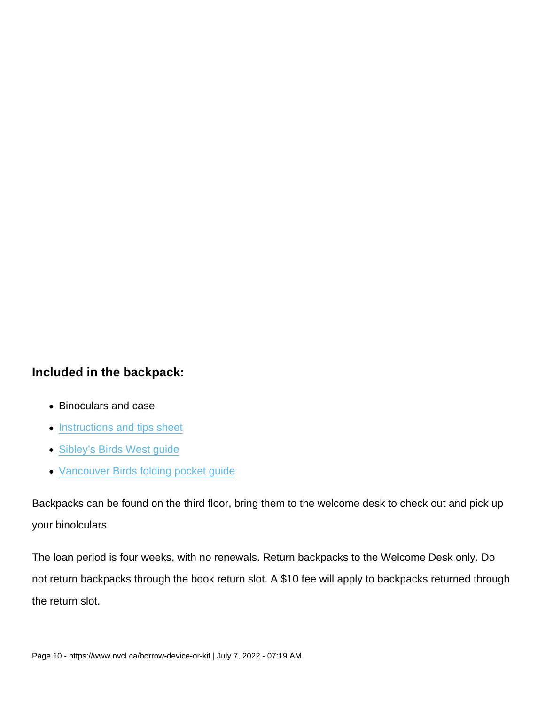Included in the backpack:

- Binoculars and case
- [Instructions and tips sheet](https://nvcl.ca/sites/default/files/2022-04/Birding backpack sheet.pdf)
- [Sibley's Birds West guide](https://nvc.ent.sirsidynix.net/client/en_US/nvcl/search/detailnonmodal/ent:$002f$002fSD_ILS$002f0$002fSD_ILS:248654/ada?qu=Sibley’s+Birds+West+guide&d=ent://SD_ILS/0/SD_ILS:248654~ILS~0&lm=NVCL)
- [Vancouver Birds folding pocket guide](https://nvc.ent.sirsidynix.net/client/en_US/nvcl/search/detailnonmodal/ent:$002f$002fSD_ILS$002f0$002fSD_ILS:331430/ada?qu=vancouver+pocket&d=ent://SD_ILS/0/SD_ILS:331430~ILS~1&lm=NVCL)

Backpacks can be found on the third floor, bring them to the welcome desk to check out and pick up your binolculars

The loan period is four weeks, with no renewals. Return backpacks to the Welcome Desk only. Do not return backpacks through the book return slot. A \$10 fee will apply to backpacks returned through the return slot.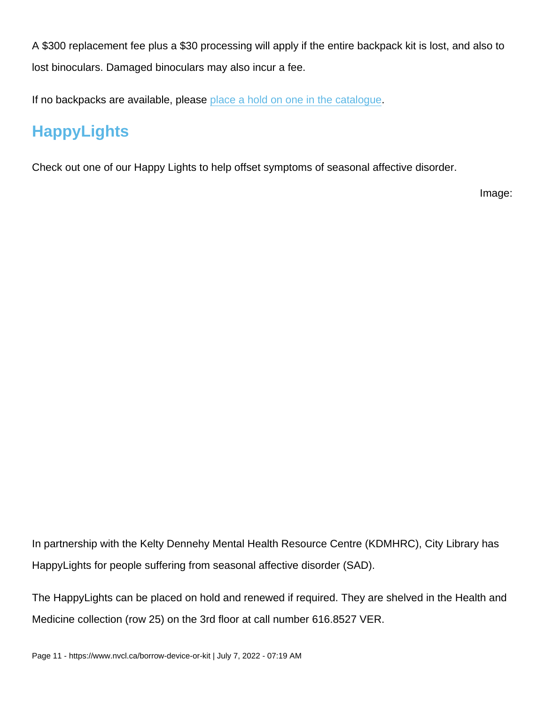A \$300 replacement fee plus a \$30 processing will apply if the entire backpack kit is lost, and also to lost binoculars. Damaged binoculars may also incur a fee.

If no backpacks are available, please [place a hold on one in the catalogue.](https://nvc.ent.sirsidynix.net/client/en_US/nvcl/search/detailnonmodal/ent:$002f$002fSD_ILS$002f0$002fSD_ILS:331325/ada?qu=birding&d=ent://SD_ILS/0/SD_ILS:331325~ILS~0&lm=NVCL)

# **HappyLights**

Check out one of our Happy Lights to help offset symptoms of seasonal affective disorder.

Image:

In partnership with the Kelty Dennehy Mental Health Resource Centre (KDMHRC), City Library has HappyLights for people suffering from seasonal affective disorder (SAD).

The HappyLights can be placed on hold and renewed if required. They are shelved in the Health and Medicine collection (row 25) on the 3rd floor at call number 616.8527 VER.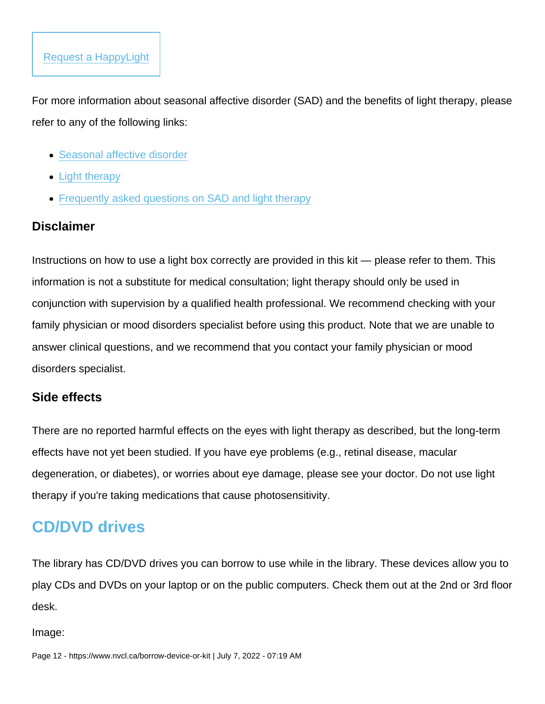For more information about seasonal affective disorder (SAD) and the benefits of light therapy, please refer to any of the following links:

- [Seasonal affective disorder](https://www.heretohelp.bc.ca/infosheet/seasonal-affective-disorder)
- [Light therapy](https://www.heretohelp.bc.ca/light-therapy)
- [Frequently asked questions on SAD and light therapy](https://sad.psychiatry.ubc.ca/frequently-asked-questions-about-sad-and-light-therapy/)

#### **Disclaimer**

Instructions on how to use a light box correctly are provided in this kit — please refer to them. This information is not a substitute for medical consultation; light therapy should only be used in conjunction with supervision by a qualified health professional. We recommend checking with your family physician or mood disorders specialist before using this product. Note that we are unable to answer clinical questions, and we recommend that you contact your family physician or mood disorders specialist.

#### Side effects

There are no reported harmful effects on the eyes with light therapy as described, but the long-term effects have not yet been studied. If you have eye problems (e.g., retinal disease, macular degeneration, or diabetes), or worries about eye damage, please see your doctor. Do not use light therapy if you're taking medications that cause photosensitivity.

# CD/DVD drives

The library has CD/DVD drives you can borrow to use while in the library. These devices allow you to play CDs and DVDs on your laptop or on the public computers. Check them out at the 2nd or 3rd floor desk.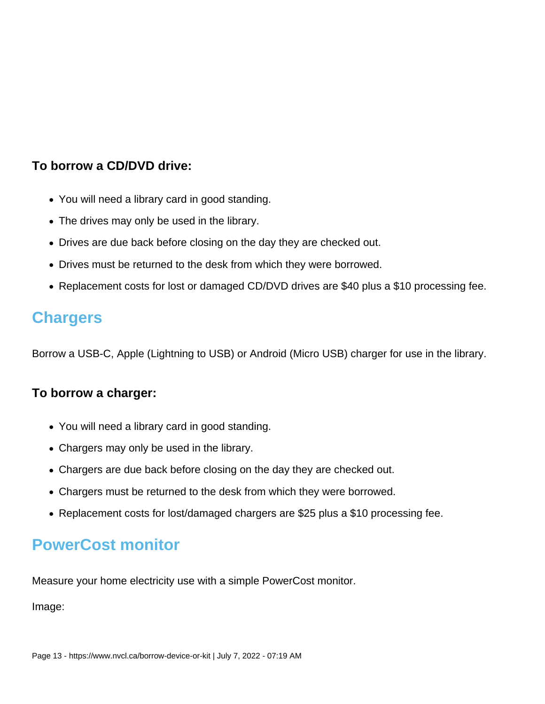### **To borrow a CD/DVD drive:**

- You will need a library card in good standing.
- The drives may only be used in the library.
- Drives are due back before closing on the day they are checked out.
- Drives must be returned to the desk from which they were borrowed.
- Replacement costs for lost or damaged CD/DVD drives are \$40 plus a \$10 processing fee.

### **Chargers**

Borrow a USB-C, Apple (Lightning to USB) or Android (Micro USB) charger for use in the library.

#### **To borrow a charger:**

- You will need a library card in good standing.
- Chargers may only be used in the library.
- Chargers are due back before closing on the day they are checked out.
- Chargers must be returned to the desk from which they were borrowed.
- Replacement costs for lost/damaged chargers are \$25 plus a \$10 processing fee.

# **PowerCost monitor**

Measure your home electricity use with a simple PowerCost monitor.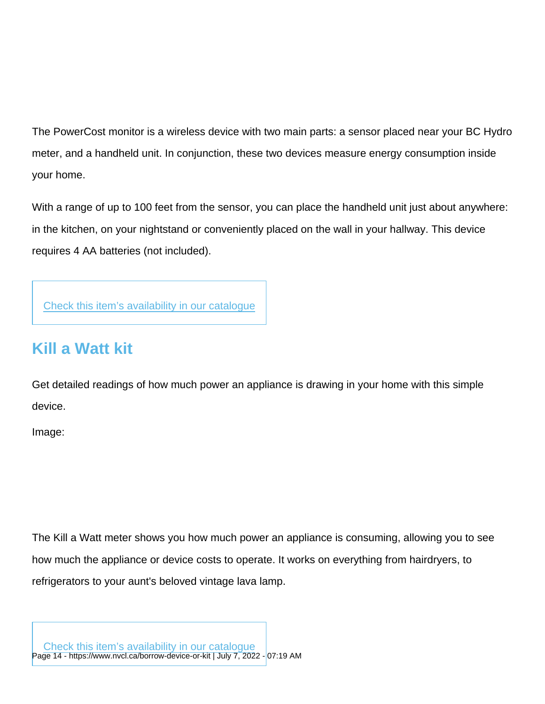The PowerCost monitor is a wireless device with two main parts: a sensor placed near your BC Hydro meter, and a handheld unit. In conjunction, these two devices measure energy consumption inside your home.

With a range of up to 100 feet from the sensor, you can place the handheld unit just about anywhere: in the kitchen, on your nightstand or conveniently placed on the wall in your hallway. This device requires 4 AA batteries (not included).

[Check this item's availability in our catalogue](https://nvc.ent.sirsidynix.net/client/en_US/nvcl/search/detailnonmodal/ent:$002f$002fSD_ILS$002f0$002fSD_ILS:125777/one?qu=powercost+monitor&lm=NVCL)

# Kill a Watt kit

Get detailed readings of how much power an appliance is drawing in your home with this simple device.

Image:

The Kill a Watt meter shows you how much power an appliance is consuming, allowing you to see how much the appliance or device costs to operate. It works on everything from hairdryers, to refrigerators to your aunt's beloved vintage lava lamp.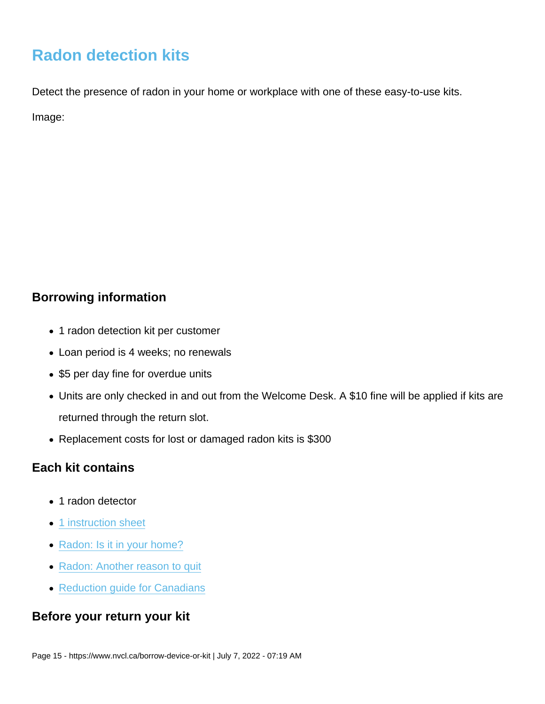# Radon detection kits

Detect the presence of radon in your home or workplace with one of these easy-to-use kits. Image:

### Borrowing information

- 1 radon detection kit per customer
- Loan period is 4 weeks; no renewals
- \$5 per day fine for overdue units
- Units are only checked in and out from the Welcome Desk. A \$10 fine will be applied if kits are returned through the return slot.
- Replacement costs for lost or damaged radon kits is \$300

### Each kit contains

- 1 radon detector
- [1 instruction sheet](https://nvcl.ca/sites/default/files/2022-04/Radon Detector Kit Instructions2.pdf)
- [Radon: Is it in your home?](https://nvcl.ca/sites/default/files/2022-04/radon is it in your home.pdf)
- [Radon: Another reason to quit](https://nvcl.ca/sites/default/files/2022-04/radon another reason to quit.pdf)
- [Reduction guide for Canadians](https://nvcl.ca/sites/default/files/2022-04/radon reduction guide for canadians.pdf)

### Before your return your kit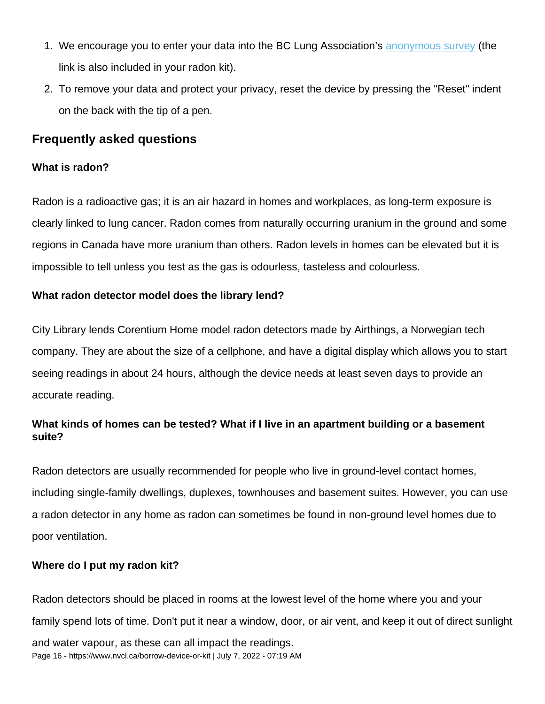- 1. We encourage you to enter your data into the BC Lung Association's [anonymous survey](https://form.jotform.com/82987464066269) (the link is also included in your radon kit).
- 2. To remove your data and protect your privacy, reset the device by pressing the "Reset" indent on the back with the tip of a pen.

#### Frequently asked questions

#### What is radon?

Radon is a radioactive gas; it is an air hazard in homes and workplaces, as long-term exposure is clearly linked to lung cancer. Radon comes from naturally occurring uranium in the ground and some regions in Canada have more uranium than others. Radon levels in homes can be elevated but it is impossible to tell unless you test as the gas is odourless, tasteless and colourless.

What radon detector model does the library lend?

City Library lends Corentium Home model radon detectors made by Airthings, a Norwegian tech company. They are about the size of a cellphone, and have a digital display which allows you to start seeing readings in about 24 hours, although the device needs at least seven days to provide an accurate reading.

What kinds of homes can be tested? What if I live in an apartment building or a basement suite?

Radon detectors are usually recommended for people who live in ground-level contact homes, including single-family dwellings, duplexes, townhouses and basement suites. However, you can use a radon detector in any home as radon can sometimes be found in non-ground level homes due to poor ventilation.

Where do I put my radon kit?

Radon detectors should be placed in rooms at the lowest level of the home where you and your family spend lots of time. Don't put it near a window, door, or air vent, and keep it out of direct sunlight and water vapour, as these can all impact the readings. Page 16 - https://www.nvcl.ca/borrow-device-or-kit | July 7, 2022 - 07:19 AM